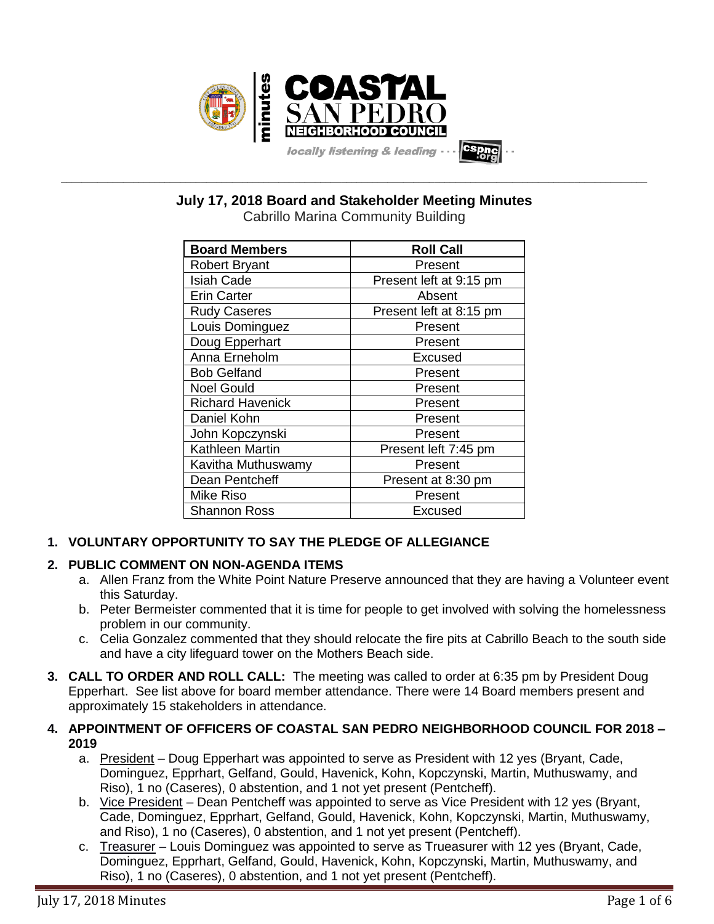

**July 17, 2018 Board and Stakeholder Meeting Minutes**

**\_\_\_\_\_\_\_\_\_\_\_\_\_\_\_\_\_\_\_\_\_\_\_\_\_\_\_\_\_\_\_\_\_\_\_\_\_\_\_\_\_\_\_\_\_\_\_\_\_\_\_\_\_\_\_\_\_\_\_\_\_\_\_\_\_\_\_\_\_\_\_\_\_\_\_\_\_\_\_\_\_\_\_\_\_\_\_\_\_\_\_\_\_\_\_\_\_\_\_\_\_\_\_\_\_\_\_\_\_\_\_\_\_**

Cabrillo Marina Community Building

| <b>Board Members</b>    | <b>Roll Call</b>        |
|-------------------------|-------------------------|
| <b>Robert Bryant</b>    | Present                 |
| <b>Isiah Cade</b>       | Present left at 9:15 pm |
| <b>Erin Carter</b>      | Absent                  |
| <b>Rudy Caseres</b>     | Present left at 8:15 pm |
| Louis Dominguez         | Present                 |
| Doug Epperhart          | Present                 |
| Anna Erneholm           | Excused                 |
| <b>Bob Gelfand</b>      | Present                 |
| <b>Noel Gould</b>       | Present                 |
| <b>Richard Havenick</b> | Present                 |
| Daniel Kohn             | Present                 |
| John Kopczynski         | Present                 |
| Kathleen Martin         | Present left 7:45 pm    |
| Kavitha Muthuswamy      | Present                 |
| Dean Pentcheff          | Present at 8:30 pm      |
| Mike Riso               | Present                 |
| <b>Shannon Ross</b>     | Excused                 |

# **1. VOLUNTARY OPPORTUNITY TO SAY THE PLEDGE OF ALLEGIANCE**

## **2. PUBLIC COMMENT ON NON-AGENDA ITEMS**

- a. Allen Franz from the White Point Nature Preserve announced that they are having a Volunteer event this Saturday.
- b. Peter Bermeister commented that it is time for people to get involved with solving the homelessness problem in our community.
- c. Celia Gonzalez commented that they should relocate the fire pits at Cabrillo Beach to the south side and have a city lifeguard tower on the Mothers Beach side.
- **3. CALL TO ORDER AND ROLL CALL:** The meeting was called to order at 6:35 pm by President Doug Epperhart. See list above for board member attendance. There were 14 Board members present and approximately 15 stakeholders in attendance.

## **4. APPOINTMENT OF OFFICERS OF COASTAL SAN PEDRO NEIGHBORHOOD COUNCIL FOR 2018 – 2019**

- a. President Doug Epperhart was appointed to serve as President with 12 yes (Bryant, Cade, Dominguez, Epprhart, Gelfand, Gould, Havenick, Kohn, Kopczynski, Martin, Muthuswamy, and Riso), 1 no (Caseres), 0 abstention, and 1 not yet present (Pentcheff).
- b. Vice President Dean Pentcheff was appointed to serve as Vice President with 12 yes (Bryant, Cade, Dominguez, Epprhart, Gelfand, Gould, Havenick, Kohn, Kopczynski, Martin, Muthuswamy, and Riso), 1 no (Caseres), 0 abstention, and 1 not yet present (Pentcheff).
- c. Treasurer Louis Dominguez was appointed to serve as Trueasurer with 12 yes (Bryant, Cade, Dominguez, Epprhart, Gelfand, Gould, Havenick, Kohn, Kopczynski, Martin, Muthuswamy, and Riso), 1 no (Caseres), 0 abstention, and 1 not yet present (Pentcheff).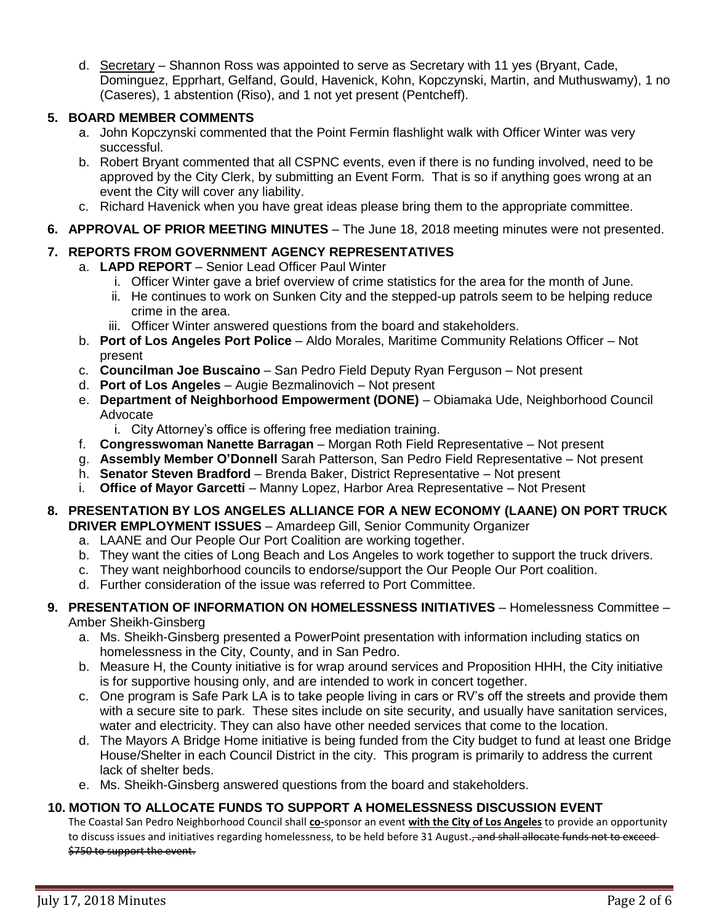d. Secretary – Shannon Ross was appointed to serve as Secretary with 11 yes (Bryant, Cade, Dominguez, Epprhart, Gelfand, Gould, Havenick, Kohn, Kopczynski, Martin, and Muthuswamy), 1 no (Caseres), 1 abstention (Riso), and 1 not yet present (Pentcheff).

## **5. BOARD MEMBER COMMENTS**

- a. John Kopczynski commented that the Point Fermin flashlight walk with Officer Winter was very successful.
- b. Robert Bryant commented that all CSPNC events, even if there is no funding involved, need to be approved by the City Clerk, by submitting an Event Form. That is so if anything goes wrong at an event the City will cover any liability.
- c. Richard Havenick when you have great ideas please bring them to the appropriate committee.
- **6. APPROVAL OF PRIOR MEETING MINUTES** The June 18, 2018 meeting minutes were not presented.

## **7. REPORTS FROM GOVERNMENT AGENCY REPRESENTATIVES**

- a. **LAPD REPORT** Senior Lead Officer Paul Winter
	- i. Officer Winter gave a brief overview of crime statistics for the area for the month of June.
	- ii. He continues to work on Sunken City and the stepped-up patrols seem to be helping reduce crime in the area.
	- iii. Officer Winter answered questions from the board and stakeholders.
	- b. **Port of Los Angeles Port Police** Aldo Morales, Maritime Community Relations Officer Not present
	- c. **Councilman Joe Buscaino** San Pedro Field Deputy Ryan Ferguson Not present
	- d. **Port of Los Angeles** Augie Bezmalinovich Not present
	- e. **Department of Neighborhood Empowerment (DONE)** Obiamaka Ude, Neighborhood Council Advocate
		- i. City Attorney's office is offering free mediation training.
	- f. **Congresswoman Nanette Barragan** Morgan Roth Field Representative Not present
	- g. **Assembly Member O'Donnell** Sarah Patterson, San Pedro Field Representative Not present
	- h. **Senator Steven Bradford** Brenda Baker, District Representative Not present
	- i. **Office of Mayor Garcetti** Manny Lopez, Harbor Area Representative Not Present
- **8. PRESENTATION BY LOS ANGELES ALLIANCE FOR A NEW ECONOMY (LAANE) ON PORT TRUCK DRIVER EMPLOYMENT ISSUES** – Amardeep Gill, Senior Community Organizer
	- a. LAANE and Our People Our Port Coalition are working together.
	- b. They want the cities of Long Beach and Los Angeles to work together to support the truck drivers.
	- c. They want neighborhood councils to endorse/support the Our People Our Port coalition.
	- d. Further consideration of the issue was referred to Port Committee.
- **9. PRESENTATION OF INFORMATION ON HOMELESSNESS INITIATIVES** Homelessness Committee Amber Sheikh-Ginsberg
	- a. Ms. Sheikh-Ginsberg presented a PowerPoint presentation with information including statics on homelessness in the City, County, and in San Pedro.
	- b. Measure H, the County initiative is for wrap around services and Proposition HHH, the City initiative is for supportive housing only, and are intended to work in concert together.
	- c. One program is Safe Park LA is to take people living in cars or RV's off the streets and provide them with a secure site to park. These sites include on site security, and usually have sanitation services, water and electricity. They can also have other needed services that come to the location.
	- d. The Mayors A Bridge Home initiative is being funded from the City budget to fund at least one Bridge House/Shelter in each Council District in the city. This program is primarily to address the current lack of shelter beds.
	- e. Ms. Sheikh-Ginsberg answered questions from the board and stakeholders.

#### **10. MOTION TO ALLOCATE FUNDS TO SUPPORT A HOMELESSNESS DISCUSSION EVENT**

The Coastal San Pedro Neighborhood Council shall **co-**sponsor an event **with the City of Los Angeles** to provide an opportunity to discuss issues and initiatives regarding homelessness, to be held before 31 August**.**, and shall allocate funds not to exceed \$750 to support the event.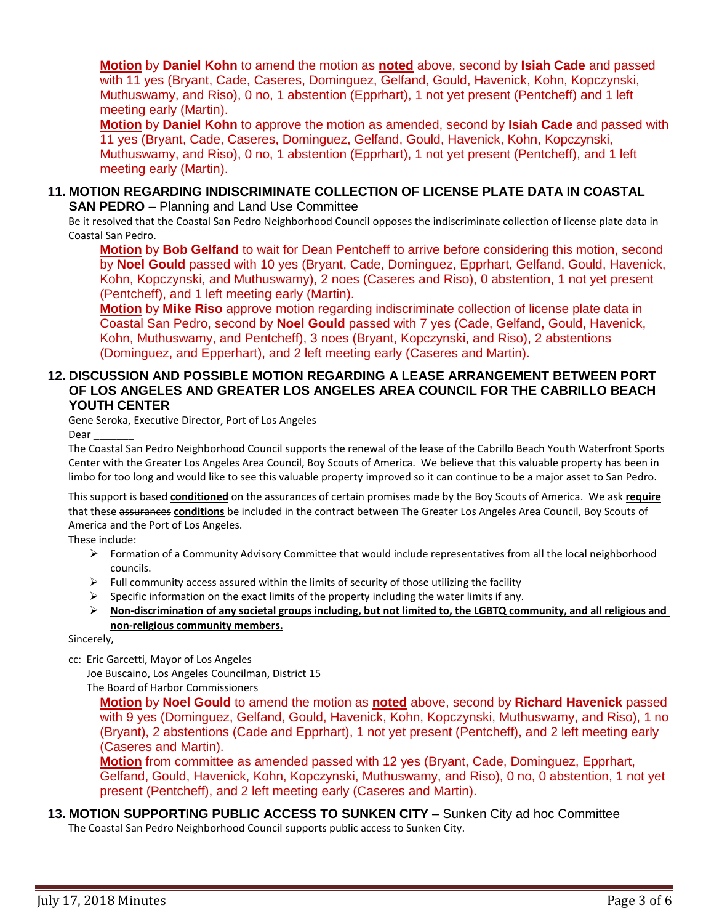**Motion** by **Daniel Kohn** to amend the motion as **noted** above, second by **Isiah Cade** and passed with 11 yes (Bryant, Cade, Caseres, Dominguez, Gelfand, Gould, Havenick, Kohn, Kopczynski, Muthuswamy, and Riso), 0 no, 1 abstention (Epprhart), 1 not yet present (Pentcheff) and 1 left meeting early (Martin).

**Motion** by **Daniel Kohn** to approve the motion as amended, second by **Isiah Cade** and passed with 11 yes (Bryant, Cade, Caseres, Dominguez, Gelfand, Gould, Havenick, Kohn, Kopczynski, Muthuswamy, and Riso), 0 no, 1 abstention (Epprhart), 1 not yet present (Pentcheff), and 1 left meeting early (Martin).

#### **11. MOTION REGARDING INDISCRIMINATE COLLECTION OF LICENSE PLATE DATA IN COASTAL SAN PEDRO** – Planning and Land Use Committee

Be it resolved that the Coastal San Pedro Neighborhood Council opposes the indiscriminate collection of license plate data in Coastal San Pedro.

**Motion** by **Bob Gelfand** to wait for Dean Pentcheff to arrive before considering this motion, second by **Noel Gould** passed with 10 yes (Bryant, Cade, Dominguez, Epprhart, Gelfand, Gould, Havenick, Kohn, Kopczynski, and Muthuswamy), 2 noes (Caseres and Riso), 0 abstention, 1 not yet present (Pentcheff), and 1 left meeting early (Martin).

**Motion** by **Mike Riso** approve motion regarding indiscriminate collection of license plate data in Coastal San Pedro, second by **Noel Gould** passed with 7 yes (Cade, Gelfand, Gould, Havenick, Kohn, Muthuswamy, and Pentcheff), 3 noes (Bryant, Kopczynski, and Riso), 2 abstentions (Dominguez, and Epperhart), and 2 left meeting early (Caseres and Martin).

#### **12. DISCUSSION AND POSSIBLE MOTION REGARDING A LEASE ARRANGEMENT BETWEEN PORT OF LOS ANGELES AND GREATER LOS ANGELES AREA COUNCIL FOR THE CABRILLO BEACH YOUTH CENTER**

Gene Seroka, Executive Director, Port of Los Angeles

Dear

The Coastal San Pedro Neighborhood Council supports the renewal of the lease of the Cabrillo Beach Youth Waterfront Sports Center with the Greater Los Angeles Area Council, Boy Scouts of America. We believe that this valuable property has been in limbo for too long and would like to see this valuable property improved so it can continue to be a major asset to San Pedro.

This support is based **conditioned** on the assurances of certain promises made by the Boy Scouts of America. We ask **require** that these assurances **conditions** be included in the contract between The Greater Los Angeles Area Council, Boy Scouts of America and the Port of Los Angeles.

These include:

- ➢ Formation of a Community Advisory Committee that would include representatives from all the local neighborhood councils.
- $\triangleright$  Full community access assured within the limits of security of those utilizing the facility
- $\triangleright$  Specific information on the exact limits of the property including the water limits if any.
- ➢ **Non-discrimination of any societal groups including, but not limited to, the LGBTQ community, and all religious and non-religious community members.**

Sincerely,

cc: Eric Garcetti, Mayor of Los Angeles

Joe Buscaino, Los Angeles Councilman, District 15 The Board of Harbor Commissioners

**Motion** by **Noel Gould** to amend the motion as **noted** above, second by **Richard Havenick** passed with 9 yes (Dominguez, Gelfand, Gould, Havenick, Kohn, Kopczynski, Muthuswamy, and Riso), 1 no (Bryant), 2 abstentions (Cade and Epprhart), 1 not yet present (Pentcheff), and 2 left meeting early (Caseres and Martin).

**Motion** from committee as amended passed with 12 yes (Bryant, Cade, Dominguez, Epprhart, Gelfand, Gould, Havenick, Kohn, Kopczynski, Muthuswamy, and Riso), 0 no, 0 abstention, 1 not yet present (Pentcheff), and 2 left meeting early (Caseres and Martin).

#### **13. MOTION SUPPORTING PUBLIC ACCESS TO SUNKEN CITY** – Sunken City ad hoc Committee The Coastal San Pedro Neighborhood Council supports public access to Sunken City.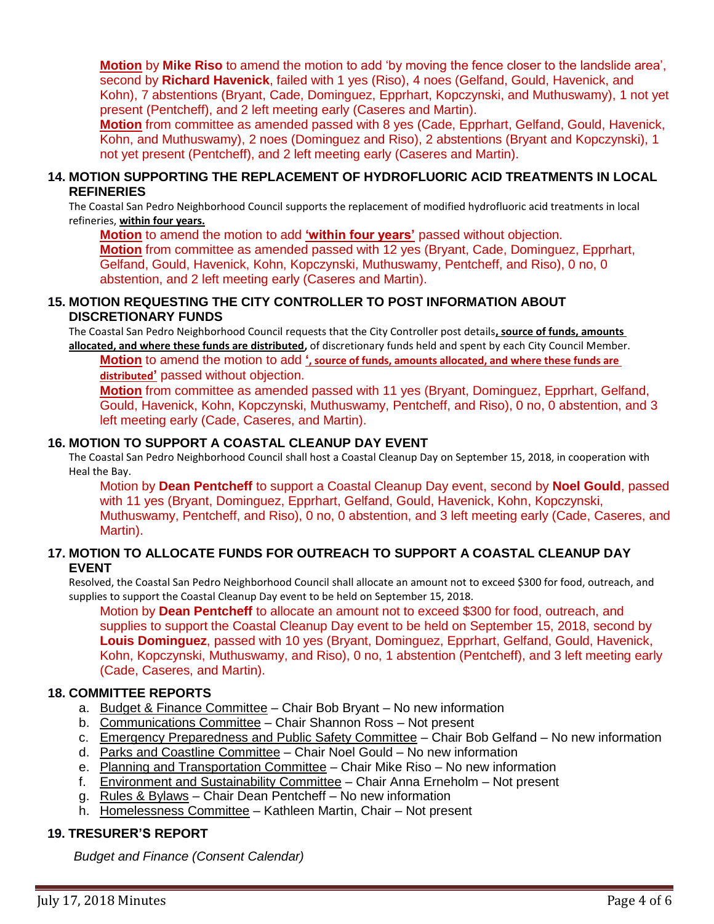**Motion** by **Mike Riso** to amend the motion to add 'by moving the fence closer to the landslide area', second by **Richard Havenick**, failed with 1 yes (Riso), 4 noes (Gelfand, Gould, Havenick, and Kohn), 7 abstentions (Bryant, Cade, Dominguez, Epprhart, Kopczynski, and Muthuswamy), 1 not yet present (Pentcheff), and 2 left meeting early (Caseres and Martin).

**Motion** from committee as amended passed with 8 yes (Cade, Epprhart, Gelfand, Gould, Havenick, Kohn, and Muthuswamy), 2 noes (Dominguez and Riso), 2 abstentions (Bryant and Kopczynski), 1 not yet present (Pentcheff), and 2 left meeting early (Caseres and Martin).

#### **14. MOTION SUPPORTING THE REPLACEMENT OF HYDROFLUORIC ACID TREATMENTS IN LOCAL REFINERIES**

The Coastal San Pedro Neighborhood Council supports the replacement of modified hydrofluoric acid treatments in local refineries, **within four years.**

**Motion** to amend the motion to add **'within four years'** passed without objection. **Motion** from committee as amended passed with 12 yes (Bryant, Cade, Dominguez, Epprhart, Gelfand, Gould, Havenick, Kohn, Kopczynski, Muthuswamy, Pentcheff, and Riso), 0 no, 0 abstention, and 2 left meeting early (Caseres and Martin).

### **15. MOTION REQUESTING THE CITY CONTROLLER TO POST INFORMATION ABOUT DISCRETIONARY FUNDS**

The Coastal San Pedro Neighborhood Council requests that the City Controller post details**, source of funds, amounts allocated, and where these funds are distributed,** of discretionary funds held and spent by each City Council Member.

**Motion** to amend the motion to add **', source of funds, amounts allocated, and where these funds are distributed'** passed without objection.

**Motion** from committee as amended passed with 11 yes (Bryant, Dominguez, Epprhart, Gelfand, Gould, Havenick, Kohn, Kopczynski, Muthuswamy, Pentcheff, and Riso), 0 no, 0 abstention, and 3 left meeting early (Cade, Caseres, and Martin).

## **16. MOTION TO SUPPORT A COASTAL CLEANUP DAY EVENT**

The Coastal San Pedro Neighborhood Council shall host a Coastal Cleanup Day on September 15, 2018, in cooperation with Heal the Bay.

Motion by **Dean Pentcheff** to support a Coastal Cleanup Day event, second by **Noel Gould**, passed with 11 yes (Bryant, Dominguez, Epprhart, Gelfand, Gould, Havenick, Kohn, Kopczynski, Muthuswamy, Pentcheff, and Riso), 0 no, 0 abstention, and 3 left meeting early (Cade, Caseres, and Martin).

#### **17. MOTION TO ALLOCATE FUNDS FOR OUTREACH TO SUPPORT A COASTAL CLEANUP DAY EVENT**

Resolved, the Coastal San Pedro Neighborhood Council shall allocate an amount not to exceed \$300 for food, outreach, and supplies to support the Coastal Cleanup Day event to be held on September 15, 2018.

Motion by **Dean Pentcheff** to allocate an amount not to exceed \$300 for food, outreach, and supplies to support the Coastal Cleanup Day event to be held on September 15, 2018, second by **Louis Dominguez**, passed with 10 yes (Bryant, Dominguez, Epprhart, Gelfand, Gould, Havenick, Kohn, Kopczynski, Muthuswamy, and Riso), 0 no, 1 abstention (Pentcheff), and 3 left meeting early (Cade, Caseres, and Martin).

#### **18. COMMITTEE REPORTS**

- a. Budget & Finance Committee Chair Bob Bryant No new information
- b. Communications Committee Chair Shannon Ross Not present
- c. Emergency Preparedness and Public Safety Committee Chair Bob Gelfand No new information
- d. Parks and Coastline Committee Chair Noel Gould No new information
- e. Planning and Transportation Committee Chair Mike Riso No new information
- f. Environment and Sustainability Committee Chair Anna Erneholm Not present
- g. Rules & Bylaws Chair Dean Pentcheff No new information
- h. Homelessness Committee Kathleen Martin, Chair Not present

### **19. TRESURER'S REPORT**

*Budget and Finance (Consent Calendar)*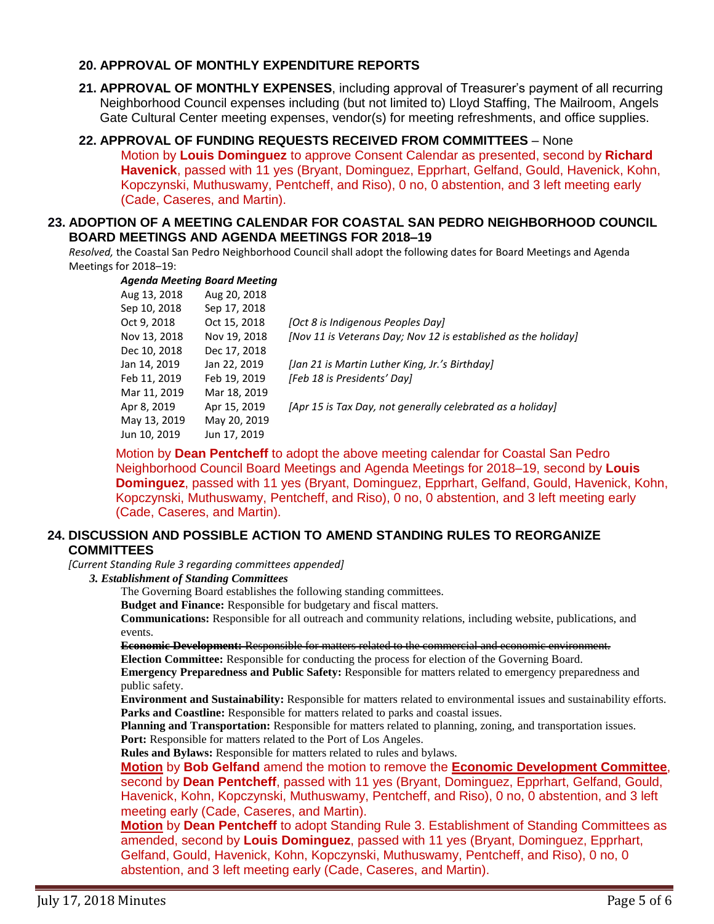#### **20. APPROVAL OF MONTHLY EXPENDITURE REPORTS**

- **21. APPROVAL OF MONTHLY EXPENSES**, including approval of Treasurer's payment of all recurring Neighborhood Council expenses including (but not limited to) Lloyd Staffing, The Mailroom, Angels Gate Cultural Center meeting expenses, vendor(s) for meeting refreshments, and office supplies.
- **22. APPROVAL OF FUNDING REQUESTS RECEIVED FROM COMMITTEES** None Motion by **Louis Dominguez** to approve Consent Calendar as presented, second by **Richard Havenick**, passed with 11 yes (Bryant, Dominguez, Epprhart, Gelfand, Gould, Havenick, Kohn, Kopczynski, Muthuswamy, Pentcheff, and Riso), 0 no, 0 abstention, and 3 left meeting early (Cade, Caseres, and Martin).

#### **23. ADOPTION OF A MEETING CALENDAR FOR COASTAL SAN PEDRO NEIGHBORHOOD COUNCIL BOARD MEETINGS AND AGENDA MEETINGS FOR 2018–19**

*Resolved,* the Coastal San Pedro Neighborhood Council shall adopt the following dates for Board Meetings and Agenda Meetings for 2018–19:

#### *Agenda Meeting Board Meeting*

| Aug 13, 2018 | Aug 20, 2018 |                                                                |
|--------------|--------------|----------------------------------------------------------------|
| Sep 10, 2018 | Sep 17, 2018 |                                                                |
| Oct 9, 2018  | Oct 15, 2018 | [Oct 8 is Indigenous Peoples Day]                              |
| Nov 13, 2018 | Nov 19, 2018 | [Nov 11 is Veterans Day; Nov 12 is established as the holiday] |
| Dec 10, 2018 | Dec 17, 2018 |                                                                |
| Jan 14, 2019 | Jan 22, 2019 | [Jan 21 is Martin Luther King, Jr.'s Birthday]                 |
| Feb 11, 2019 | Feb 19, 2019 | [Feb 18 is Presidents' Day]                                    |
| Mar 11, 2019 | Mar 18, 2019 |                                                                |
| Apr 8, 2019  | Apr 15, 2019 | [Apr 15 is Tax Day, not generally celebrated as a holiday]     |
| May 13, 2019 | May 20, 2019 |                                                                |
| Jun 10, 2019 | Jun 17, 2019 |                                                                |

Motion by **Dean Pentcheff** to adopt the above meeting calendar for Coastal San Pedro Neighborhood Council Board Meetings and Agenda Meetings for 2018–19, second by **Louis Dominguez**, passed with 11 yes (Bryant, Dominguez, Epprhart, Gelfand, Gould, Havenick, Kohn, Kopczynski, Muthuswamy, Pentcheff, and Riso), 0 no, 0 abstention, and 3 left meeting early (Cade, Caseres, and Martin).

#### **24. DISCUSSION AND POSSIBLE ACTION TO AMEND STANDING RULES TO REORGANIZE COMMITTEES**

*[Current Standing Rule 3 regarding committees appended]*

#### *3. Establishment of Standing Committees*

The Governing Board establishes the following standing committees.

**Budget and Finance:** Responsible for budgetary and fiscal matters.

**Communications:** Responsible for all outreach and community relations, including website, publications, and events.

### **Economic Development:** Responsible for matters related to the commercial and economic environment.

**Election Committee:** Responsible for conducting the process for election of the Governing Board. **Emergency Preparedness and Public Safety:** Responsible for matters related to emergency preparedness and public safety.

**Environment and Sustainability:** Responsible for matters related to environmental issues and sustainability efforts. **Parks and Coastline:** Responsible for matters related to parks and coastal issues.

**Planning and Transportation:** Responsible for matters related to planning, zoning, and transportation issues.

**Port:** Responsible for matters related to the Port of Los Angeles.

**Rules and Bylaws:** Responsible for matters related to rules and bylaws.

**Motion** by **Bob Gelfand** amend the motion to remove the **Economic Development Committee**, second by **Dean Pentcheff**, passed with 11 yes (Bryant, Dominguez, Epprhart, Gelfand, Gould, Havenick, Kohn, Kopczynski, Muthuswamy, Pentcheff, and Riso), 0 no, 0 abstention, and 3 left meeting early (Cade, Caseres, and Martin).

**Motion** by **Dean Pentcheff** to adopt Standing Rule 3. Establishment of Standing Committees as amended, second by **Louis Dominguez**, passed with 11 yes (Bryant, Dominguez, Epprhart, Gelfand, Gould, Havenick, Kohn, Kopczynski, Muthuswamy, Pentcheff, and Riso), 0 no, 0 abstention, and 3 left meeting early (Cade, Caseres, and Martin).